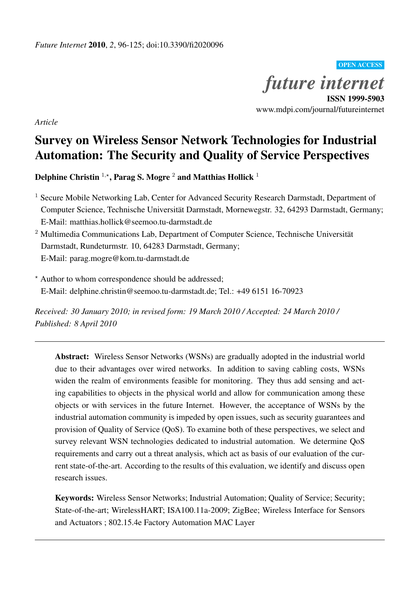OPEN ACCESS *future internet* ISSN 1999-5903

www.mdpi.com/journal/futureinternet

*Article*

# Survey on Wireless Sensor Network Technologies for Industrial Automation: The Security and Quality of Service Perspectives

Delphine Christin  $1, \star$ , Parag S. Mogre  $^2$  and Matthias Hollick  $^1$ 

<sup>1</sup> Secure Mobile Networking Lab, Center for Advanced Security Research Darmstadt, Department of Computer Science, Technische Universitat Darmstadt, Mornewegstr. 32, 64293 Darmstadt, Germany; ¨ E-Mail: matthias.hollick@seemoo.tu-darmstadt.de

 $2$  Multimedia Communications Lab, Department of Computer Science, Technische Universität Darmstadt, Rundeturmstr. 10, 64283 Darmstadt, Germany; E-Mail: parag.mogre@kom.tu-darmstadt.de

? Author to whom correspondence should be addressed; E-Mail: delphine.christin@seemoo.tu-darmstadt.de; Tel.: +49 6151 16-70923

*Received: 30 January 2010; in revised form: 19 March 2010 / Accepted: 24 March 2010 / Published: 8 April 2010*

Abstract: Wireless Sensor Networks (WSNs) are gradually adopted in the industrial world due to their advantages over wired networks. In addition to saving cabling costs, WSNs widen the realm of environments feasible for monitoring. They thus add sensing and acting capabilities to objects in the physical world and allow for communication among these objects or with services in the future Internet. However, the acceptance of WSNs by the industrial automation community is impeded by open issues, such as security guarantees and provision of Quality of Service (QoS). To examine both of these perspectives, we select and survey relevant WSN technologies dedicated to industrial automation. We determine QoS requirements and carry out a threat analysis, which act as basis of our evaluation of the current state-of-the-art. According to the results of this evaluation, we identify and discuss open research issues.

Keywords: Wireless Sensor Networks; Industrial Automation; Quality of Service; Security; State-of-the-art; WirelessHART; ISA100.11a-2009; ZigBee; Wireless Interface for Sensors and Actuators ; 802.15.4e Factory Automation MAC Layer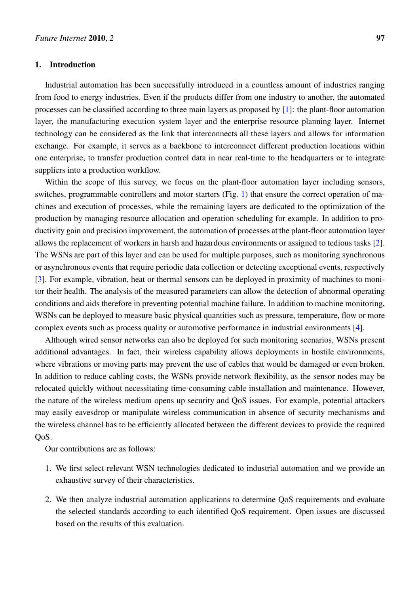### 1. Introduction

Industrial automation has been successfully introduced in a countless amount of industries ranging from food to energy industries. Even if the products differ from one industry to another, the automated processes can be classified according to three main layers as proposed by [\[1\]](#page-26-0): the plant-floor automation layer, the manufacturing execution system layer and the enterprise resource planning layer. Internet technology can be considered as the link that interconnects all these layers and allows for information exchange. For example, it serves as a backbone to interconnect different production locations within one enterprise, to transfer production control data in near real-time to the headquarters or to integrate suppliers into a production workflow.

Within the scope of this survey, we focus on the plant-floor automation layer including sensors, switches, programmable controllers and motor starters (Fig. [1\)](#page-2-0) that ensure the correct operation of machines and execution of processes, while the remaining layers are dedicated to the optimization of the production by managing resource allocation and operation scheduling for example. In addition to productivity gain and precision improvement, the automation of processes at the plant-floor automation layer allows the replacement of workers in harsh and hazardous environments or assigned to tedious tasks [\[2\]](#page-26-1). The WSNs are part of this layer and can be used for multiple purposes, such as monitoring synchronous or asynchronous events that require periodic data collection or detecting exceptional events, respectively [\[3\]](#page-26-2). For example, vibration, heat or thermal sensors can be deployed in proximity of machines to monitor their health. The analysis of the measured parameters can allow the detection of abnormal operating conditions and aids therefore in preventing potential machine failure. In addition to machine monitoring, WSNs can be deployed to measure basic physical quantities such as pressure, temperature, flow or more complex events such as process quality or automotive performance in industrial environments [\[4\]](#page-27-0).

Although wired sensor networks can also be deployed for such monitoring scenarios, WSNs present additional advantages. In fact, their wireless capability allows deployments in hostile environments, where vibrations or moving parts may prevent the use of cables that would be damaged or even broken. In addition to reduce cabling costs, the WSNs provide network flexibility, as the sensor nodes may be relocated quickly without necessitating time-consuming cable installation and maintenance. However, the nature of the wireless medium opens up security and QoS issues. For example, potential attackers may easily eavesdrop or manipulate wireless communication in absence of security mechanisms and the wireless channel has to be efficiently allocated between the different devices to provide the required Oo<sub>S</sub>.

Our contributions are as follows:

- 1. We first select relevant WSN technologies dedicated to industrial automation and we provide an exhaustive survey of their characteristics.
- 2. We then analyze industrial automation applications to determine QoS requirements and evaluate the selected standards according to each identified QoS requirement. Open issues are discussed based on the results of this evaluation.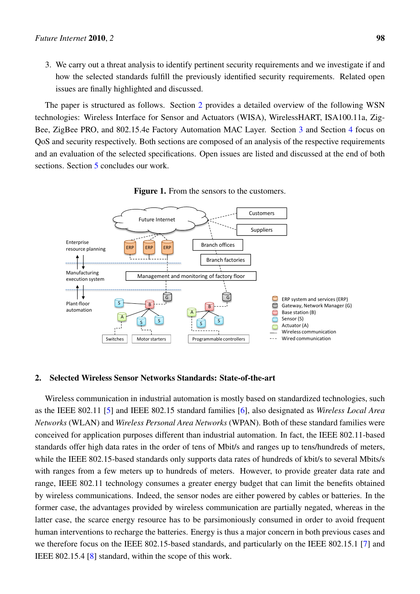3. We carry out a threat analysis to identify pertinent security requirements and we investigate if and how the selected standards fulfill the previously identified security requirements. Related open issues are finally highlighted and discussed.

The paper is structured as follows. Section [2](#page-2-1) provides a detailed overview of the following WSN technologies: Wireless Interface for Sensor and Actuators (WISA), WirelessHART, ISA100.11a, Zig-Bee, ZigBee PRO, and 802.15.4e Factory Automation MAC Layer. Section [3](#page-13-0) and Section [4](#page-21-0) focus on QoS and security respectively. Both sections are composed of an analysis of the respective requirements and an evaluation of the selected specifications. Open issues are listed and discussed at the end of both sections. Section [5](#page-25-0) concludes our work.

<span id="page-2-0"></span>



## <span id="page-2-1"></span>2. Selected Wireless Sensor Networks Standards: State-of-the-art

Wireless communication in industrial automation is mostly based on standardized technologies, such as the IEEE 802.11 [\[5\]](#page-27-1) and IEEE 802.15 standard families [\[6\]](#page-27-2), also designated as *Wireless Local Area Networks* (WLAN) and *Wireless Personal Area Networks* (WPAN). Both of these standard families were conceived for application purposes different than industrial automation. In fact, the IEEE 802.11-based standards offer high data rates in the order of tens of Mbit/s and ranges up to tens/hundreds of meters, while the IEEE 802.15-based standards only supports data rates of hundreds of kbit/s to several Mbits/s with ranges from a few meters up to hundreds of meters. However, to provide greater data rate and range, IEEE 802.11 technology consumes a greater energy budget that can limit the benefits obtained by wireless communications. Indeed, the sensor nodes are either powered by cables or batteries. In the former case, the advantages provided by wireless communication are partially negated, whereas in the latter case, the scarce energy resource has to be parsimoniously consumed in order to avoid frequent human interventions to recharge the batteries. Energy is thus a major concern in both previous cases and we therefore focus on the IEEE 802.15-based standards, and particularly on the IEEE 802.15.1 [\[7\]](#page-27-3) and IEEE 802.15.4 [\[8\]](#page-27-4) standard, within the scope of this work.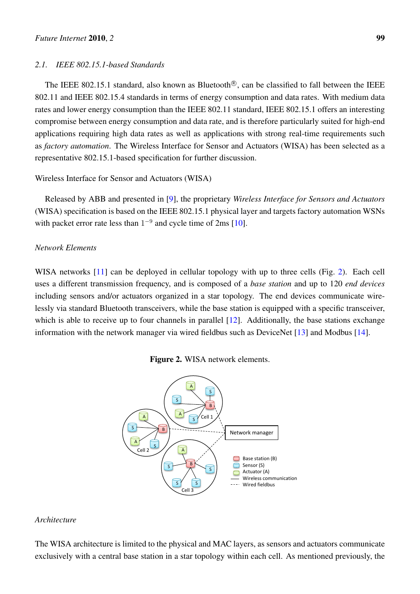## *Future Internet* 2010, 2 99

## *2.1. IEEE 802.15.1-based Standards*

The IEEE 802.15.1 standard, also known as Bluetooth<sup>®</sup>, can be classified to fall between the IEEE 802.11 and IEEE 802.15.4 standards in terms of energy consumption and data rates. With medium data rates and lower energy consumption than the IEEE 802.11 standard, IEEE 802.15.1 offers an interesting compromise between energy consumption and data rate, and is therefore particularly suited for high-end applications requiring high data rates as well as applications with strong real-time requirements such as *factory automation*. The Wireless Interface for Sensor and Actuators (WISA) has been selected as a representative 802.15.1-based specification for further discussion.

## Wireless Interface for Sensor and Actuators (WISA)

Released by ABB and presented in [\[9\]](#page-27-5), the proprietary *Wireless Interface for Sensors and Actuators* (WISA) specification is based on the IEEE 802.15.1 physical layer and targets factory automation WSNs with packet error rate less than  $1^{-9}$  and cycle time of 2ms [\[10\]](#page-27-6).

## *Network Elements*

<span id="page-3-0"></span>WISA networks [\[11\]](#page-27-7) can be deployed in cellular topology with up to three cells (Fig. [2\)](#page-3-0). Each cell uses a different transmission frequency, and is composed of a *base station* and up to 120 *end devices* including sensors and/or actuators organized in a star topology. The end devices communicate wirelessly via standard Bluetooth transceivers, while the base station is equipped with a specific transceiver, which is able to receive up to four channels in parallel [\[12\]](#page-27-8). Additionally, the base stations exchange information with the network manager via wired fieldbus such as DeviceNet [\[13\]](#page-27-9) and Modbus [\[14\]](#page-27-10).

#### Figure 2. WISA network elements.



#### *Architecture*

The WISA architecture is limited to the physical and MAC layers, as sensors and actuators communicate exclusively with a central base station in a star topology within each cell. As mentioned previously, the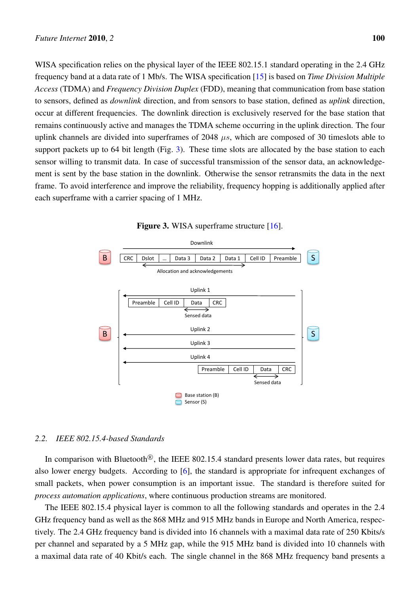WISA specification relies on the physical layer of the IEEE 802.15.1 standard operating in the 2.4 GHz frequency band at a data rate of 1 Mb/s. The WISA specification [\[15\]](#page-27-11) is based on *Time Division Multiple Access* (TDMA) and *Frequency Division Duplex* (FDD), meaning that communication from base station to sensors, defined as *downlink* direction, and from sensors to base station, defined as *uplink* direction, occur at different frequencies. The downlink direction is exclusively reserved for the base station that remains continuously active and manages the TDMA scheme occurring in the uplink direction. The four uplink channels are divided into superframes of 2048  $\mu s$ , which are composed of 30 timeslots able to support packets up to 64 bit length (Fig. [3\)](#page-4-0). These time slots are allocated by the base station to each sensor willing to transmit data. In case of successful transmission of the sensor data, an acknowledgement is sent by the base station in the downlink. Otherwise the sensor retransmits the data in the next frame. To avoid interference and improve the reliability, frequency hopping is additionally applied after each superframe with a carrier spacing of 1 MHz.

<span id="page-4-0"></span>

Figure 3. WISA superframe structure [\[16\]](#page-27-12).

#### *2.2. IEEE 802.15.4-based Standards*

In comparison with Bluetooth $\mathcal{B}$ , the IEEE 802.15.4 standard presents lower data rates, but requires also lower energy budgets. According to [\[6\]](#page-27-2), the standard is appropriate for infrequent exchanges of small packets, when power consumption is an important issue. The standard is therefore suited for *process automation applications*, where continuous production streams are monitored.

The IEEE 802.15.4 physical layer is common to all the following standards and operates in the 2.4 GHz frequency band as well as the 868 MHz and 915 MHz bands in Europe and North America, respectively. The 2.4 GHz frequency band is divided into 16 channels with a maximal data rate of 250 Kbits/s per channel and separated by a 5 MHz gap, while the 915 MHz band is divided into 10 channels with a maximal data rate of 40 Kbit/s each. The single channel in the 868 MHz frequency band presents a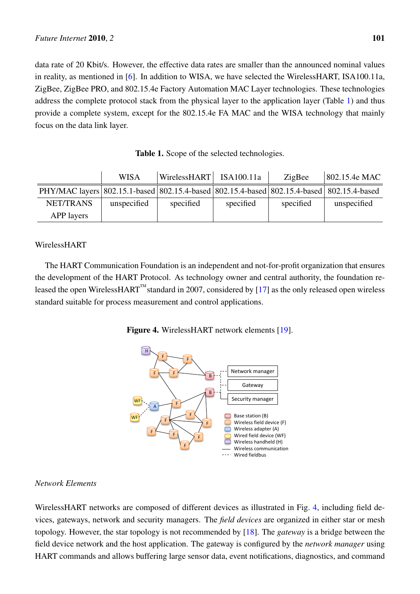data rate of 20 Kbit/s. However, the effective data rates are smaller than the announced nominal values in reality, as mentioned in [\[6\]](#page-27-2). In addition to WISA, we have selected the WirelessHART, ISA100.11a, ZigBee, ZigBee PRO, and 802.15.4e Factory Automation MAC Layer technologies. These technologies address the complete protocol stack from the physical layer to the application layer (Table [1\)](#page-5-0) and thus provide a complete system, except for the 802.15.4e FA MAC and the WISA technology that mainly focus on the data link layer.

|  |  |  |  |  |  | Table 1. Scope of the selected technologies. |
|--|--|--|--|--|--|----------------------------------------------|
|--|--|--|--|--|--|----------------------------------------------|

<span id="page-5-0"></span>

|                                                                                           | <b>WISA</b> | WirelessHART ISA100.11a |           | ZigBee    | 802.15.4e MAC |
|-------------------------------------------------------------------------------------------|-------------|-------------------------|-----------|-----------|---------------|
| PHY/MAC layers 802.15.1-based 802.15.4-based 802.15.4-based 802.15.4-based 802.15.4-based |             |                         |           |           |               |
| NET/TRANS                                                                                 | unspecified | specified               | specified | specified | unspecified   |
| <b>APP</b> layers                                                                         |             |                         |           |           |               |

# WirelessHART

<span id="page-5-1"></span>The HART Communication Foundation is an independent and not-for-profit organization that ensures the development of the HART Protocol. As technology owner and central authority, the foundation re-leased the open WirelessHART<sup>TM</sup> standard in 2007, considered by [\[17\]](#page-27-13) as the only released open wireless standard suitable for process measurement and control applications.





# *Network Elements*

vices, gateways, network and security managers. The *field devices* are organized in either star or mesh WirelessHART networks are composed of different devices as illustrated in Fig. [4,](#page-5-1) including field detopology. However, the star topology is not recommended by [\[18\]](#page-27-15). The *gateway* is a bridge between the field device network and the host application. The gateway is configured by the *network manager* using HART commands and allows buffering large sensor data, event notifications, diagnostics, and command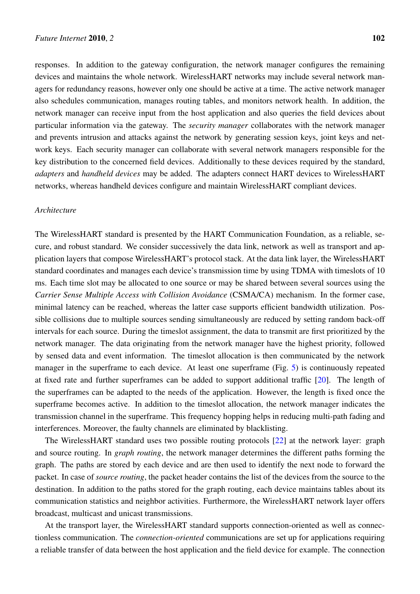responses. In addition to the gateway configuration, the network manager configures the remaining devices and maintains the whole network. WirelessHART networks may include several network managers for redundancy reasons, however only one should be active at a time. The active network manager also schedules communication, manages routing tables, and monitors network health. In addition, the network manager can receive input from the host application and also queries the field devices about particular information via the gateway. The *security manager* collaborates with the network manager and prevents intrusion and attacks against the network by generating session keys, joint keys and network keys. Each security manager can collaborate with several network managers responsible for the key distribution to the concerned field devices. Additionally to these devices required by the standard, *adapters* and *handheld devices* may be added. The adapters connect HART devices to WirelessHART networks, whereas handheld devices configure and maintain WirelessHART compliant devices.

#### *Architecture*

The WirelessHART standard is presented by the HART Communication Foundation, as a reliable, secure, and robust standard. We consider successively the data link, network as well as transport and application layers that compose WirelessHART's protocol stack. At the data link layer, the WirelessHART standard coordinates and manages each device's transmission time by using TDMA with timeslots of 10 ms. Each time slot may be allocated to one source or may be shared between several sources using the *Carrier Sense Multiple Access with Collision Avoidance* (CSMA/CA) mechanism. In the former case, minimal latency can be reached, whereas the latter case supports efficient bandwidth utilization. Possible collisions due to multiple sources sending simultaneously are reduced by setting random back-off intervals for each source. During the timeslot assignment, the data to transmit are first prioritized by the network manager. The data originating from the network manager have the highest priority, followed by sensed data and event information. The timeslot allocation is then communicated by the network manager in the superframe to each device. At least one superframe (Fig. [5\)](#page-7-0) is continuously repeated at fixed rate and further superframes can be added to support additional traffic [\[20\]](#page-28-0). The length of the superframes can be adapted to the needs of the application. However, the length is fixed once the superframe becomes active. In addition to the timeslot allocation, the network manager indicates the transmission channel in the superframe. This frequency hopping helps in reducing multi-path fading and interferences. Moreover, the faulty channels are eliminated by blacklisting.

The WirelessHART standard uses two possible routing protocols [\[22\]](#page-28-1) at the network layer: graph and source routing. In *graph routing*, the network manager determines the different paths forming the graph. The paths are stored by each device and are then used to identify the next node to forward the packet. In case of *source routing*, the packet header contains the list of the devices from the source to the destination. In addition to the paths stored for the graph routing, each device maintains tables about its communication statistics and neighbor activities. Furthermore, the WirelessHART network layer offers broadcast, multicast and unicast transmissions.

At the transport layer, the WirelessHART standard supports connection-oriented as well as connectionless communication. The *connection-oriented* communications are set up for applications requiring a reliable transfer of data between the host application and the field device for example. The connection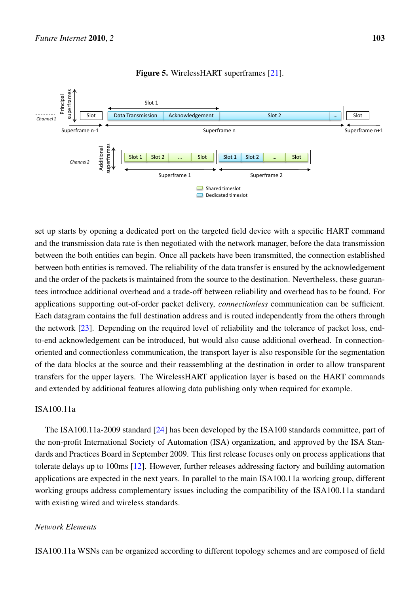<span id="page-7-0"></span>

# Figure 5. WirelessHART superframes [\[21\]](#page-28-2).

set up starts by opening a dedicated port on the targeted field device with a specific HART command and the transmission data rate is then negotiated with the network manager, before the data transmission between the both entities can begin. Once all packets have been transmitted, the connection established between both entities is removed. The reliability of the data transfer is ensured by the acknowledgement and the order of the packets is maintained from the source to the destination. Nevertheless, these guarantees introduce additional overhead and a trade-off between reliability and overhead has to be found. For applications supporting out-of-order packet delivery, *connectionless* communication can be sufficient. Each datagram contains the full destination address and is routed independently from the others through the network [\[23\]](#page-28-3). Depending on the required level of reliability and the tolerance of packet loss, endto-end acknowledgement can be introduced, but would also cause additional overhead. In connectionoriented and connectionless communication, the transport layer is also responsible for the segmentation of the data blocks at the source and their reassembling at the destination in order to allow transparent transfers for the upper layers. The WirelessHART application layer is based on the HART commands and extended by additional features allowing data publishing only when required for example.

## ISA100.11a

The ISA100.11a-2009 standard [\[24\]](#page-28-4) has been developed by the ISA100 standards committee, part of the non-profit International Society of Automation (ISA) organization, and approved by the ISA Standards and Practices Board in September 2009. This first release focuses only on process applications that tolerate delays up to 100ms [\[12\]](#page-27-8). However, further releases addressing factory and building automation applications are expected in the next years. In parallel to the main ISA100.11a working group, different working groups address complementary issues including the compatibility of the ISA100.11a standard with existing wired and wireless standards.

## *Network Elements*

ISA100.11a WSNs can be organized according to different topology schemes and are composed of field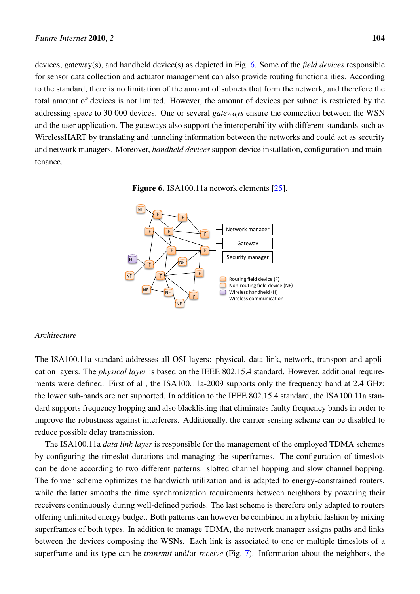## *Future Internet* 2010, 2 104

devices, gateway(s), and handheld device(s) as depicted in Fig. [6.](#page-8-0) Some of the *field devices* responsible for sensor data collection and actuator management can also provide routing functionalities. According to the standard, there is no limitation of the amount of subnets that form the network, and therefore the total amount of devices is not limited. However, the amount of devices per subnet is restricted by the addressing space to 30 000 devices. One or several *gateways* ensure the connection between the WSN and the user application. The gateways also support the interoperability with different standards such as WirelessHART by translating and tunneling information between the networks and could act as security and network managers. Moreover, *handheld devices* support device installation, configuration and maintenance.



<span id="page-8-0"></span>

# *Architecture*

the lower sub-bands are not supported. In addition to the IEEE  $802.15.4$  standard, the ISA100.11a stan-The ISA100.11a standard addresses all OSI layers: physical, data link, network, transport and application layers. The *physical layer* is based on the IEEE 802.15.4 standard. However, additional requirements were defined. First of all, the ISA100.11a-2009 supports only the frequency band at 2.4 GHz; dard supports frequency hopping and also blacklisting that eliminates faulty frequency bands in order to improve the robustness against interferers. Additionally, the carrier sensing scheme can be disabled to reduce possible delay transmission.

The ISA100.11a *data link layer* is responsible for the management of the employed TDMA schemes by configuring the timeslot durations and managing the superframes. The configuration of timeslots can be done according to two different patterns: slotted channel hopping and slow channel hopping. The former scheme optimizes the bandwidth utilization and is adapted to energy-constrained routers, while the latter smooths the time synchronization requirements between neighbors by powering their receivers continuously during well-defined periods. The last scheme is therefore only adapted to routers offering unlimited energy budget. Both patterns can however be combined in a hybrid fashion by mixing superframes of both types. In addition to manage TDMA, the network manager assigns paths and links between the devices composing the WSNs. Each link is associated to one or multiple timeslots of a superframe and its type can be *transmit* and/or *receive* (Fig. [7\)](#page-9-0). Information about the neighbors, the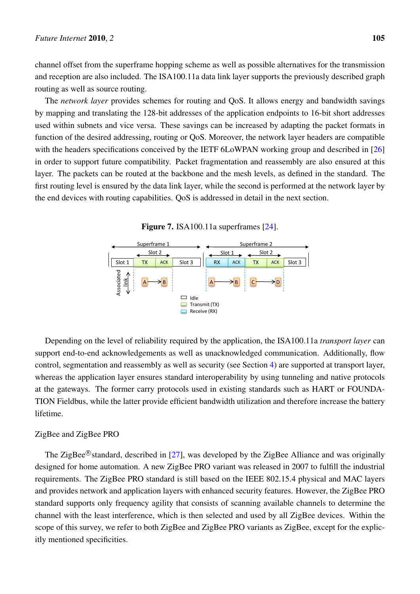channel offset from the superframe hopping scheme as well as possible alternatives for the transmission and reception are also included. The ISA100.11a data link layer supports the previously described graph routing as well as source routing.

The *network layer* provides schemes for routing and QoS. It allows energy and bandwidth savings by mapping and translating the 128-bit addresses of the application endpoints to 16-bit short addresses used within subnets and vice versa. These savings can be increased by adapting the packet formats in function of the desired addressing, routing or QoS. Moreover, the network layer headers are compatible with the headers specifications conceived by the IETF 6LoWPAN working group and described in [\[26\]](#page-28-6) in order to support future compatibility. Packet fragmentation and reassembly are also ensured at this layer. The packets can be routed at the backbone and the mesh levels, as defined in the standard. The first routing level is ensured by the data link layer, while the second is performed at the network layer by the end devices with routing capabilities. QoS is addressed in detail in the next section.



<span id="page-9-0"></span>

Depending on the level of reliability required by the application, the ISA100.11a *transport layer* can support end-to-end acknowledgements as well as unacknowledged communication. Additionally, flow control, segmentation and reassembly as well as security (see Section [4\)](#page-21-0) are supported at transport layer, whereas the application layer ensures standard interoperability by using tunneling and native protocols at the gateways. The former carry protocols used in existing standards such as HART or FOUNDA-TION Fieldbus, while the latter provide efficient bandwidth utilization and therefore increase the battery lifetime.

## ZigBee and ZigBee PRO

The ZigBee<sup>®</sup>standard, described in [\[27\]](#page-28-7), was developed by the ZigBee Alliance and was originally designed for home automation. A new ZigBee PRO variant was released in 2007 to fulfill the industrial requirements. The ZigBee PRO standard is still based on the IEEE 802.15.4 physical and MAC layers and provides network and application layers with enhanced security features. However, the ZigBee PRO standard supports only frequency agility that consists of scanning available channels to determine the channel with the least interference, which is then selected and used by all ZigBee devices. Within the scope of this survey, we refer to both ZigBee and ZigBee PRO variants as ZigBee, except for the explicitly mentioned specificities.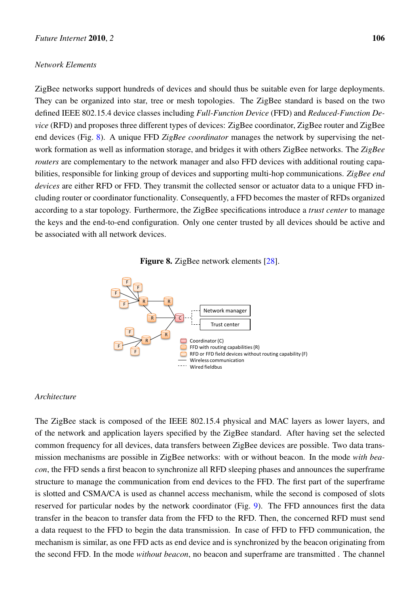#### *Network Elements*

ZigBee networks support hundreds of devices and should thus be suitable even for large deployments. They can be organized into star, tree or mesh topologies. The ZigBee standard is based on the two defined IEEE 802.15.4 device classes including *Full-Function Device* (FFD) and *Reduced-Function Device* (RFD) and proposes three different types of devices: ZigBee coordinator, ZigBee router and ZigBee end devices (Fig. [8\)](#page-10-0). A unique FFD *ZigBee coordinator* manages the network by supervising the network formation as well as information storage, and bridges it with others ZigBee networks. The *ZigBee routers* are complementary to the network manager and also FFD devices with additional routing capabilities, responsible for linking group of devices and supporting multi-hop communications. *ZigBee end devices* are either RFD or FFD. They transmit the collected sensor or actuator data to a unique FFD including router or coordinator functionality. Consequently, a FFD becomes the master of RFDs organized according to a star topology. Furthermore, the ZigBee specifications introduce a *trust center* to manage the keys and the end-to-end configuration. Only one center trusted by all devices should be active and be associated with all network devices.



<span id="page-10-0"></span>

#### *Architecture*

mission mechanisms are possible in ZigBee networks: with or without beacon. In the mode *with bea-*The ZigBee stack is composed of the IEEE 802.15.4 physical and MAC layers as lower layers, and of the network and application layers specified by the ZigBee standard. After having set the selected common frequency for all devices, data transfers between ZigBee devices are possible. Two data trans*con*, the FFD sends a first beacon to synchronize all RFD sleeping phases and announces the superframe structure to manage the communication from end devices to the FFD. The first part of the superframe is slotted and CSMA/CA is used as channel access mechanism, while the second is composed of slots reserved for particular nodes by the network coordinator (Fig. [9\)](#page-11-0). The FFD announces first the data transfer in the beacon to transfer data from the FFD to the RFD. Then, the concerned RFD must send a data request to the FFD to begin the data transmission. In case of FFD to FFD communication, the mechanism is similar, as one FFD acts as end device and is synchronized by the beacon originating from the second FFD. In the mode *without beacon*, no beacon and superframe are transmitted . The channel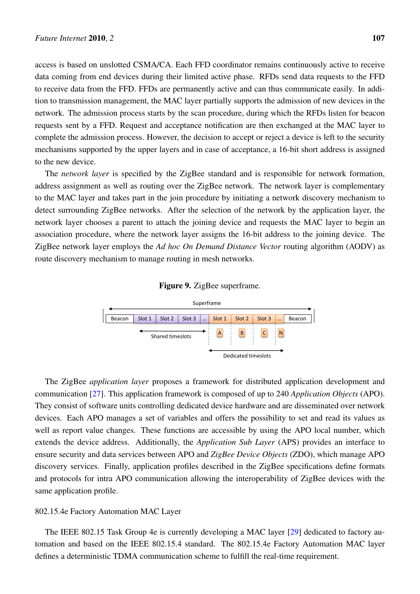access is based on unslotted CSMA/CA. Each FFD coordinator remains continuously active to receive data coming from end devices during their limited active phase. RFDs send data requests to the FFD to receive data from the FFD. FFDs are permanently active and can thus communicate easily. In addition to transmission management, the MAC layer partially supports the admission of new devices in the network. The admission process starts by the scan procedure, during which the RFDs listen for beacon requests sent by a FFD. Request and acceptance notification are then exchanged at the MAC layer to complete the admission process. However, the decision to accept or reject a device is left to the security mechanisms supported by the upper layers and in case of acceptance, a 16-bit short address is assigned to the new device.

The *network layer* is specified by the ZigBee standard and is responsible for network formation, address assignment as well as routing over the ZigBee network. The network layer is complementary to the MAC layer and takes part in the join procedure by initiating a network discovery mechanism to detect surrounding ZigBee networks. After the selection of the network by the application layer, the network layer chooses a parent to attach the joining device and requests the MAC layer to begin an association procedure, where the network layer assigns the 16-bit address to the joining device. The ZigBee network layer employs the *Ad hoc On Demand Distance Vector* routing algorithm (AODV) as route discovery mechanism to manage routing in mesh networks.



<span id="page-11-0"></span>

The ZigBee *application layer* proposes a framework for distributed application development and communication [\[27\]](#page-28-7). This application framework is composed of up to 240 *Application Objects* (APO). They consist of software units controlling dedicated device hardware and are disseminated over network devices. Each APO manages a set of variables and offers the possibility to set and read its values as well as report value changes. These functions are accessible by using the APO local number, which extends the device address. Additionally, the *Application Sub Layer* (APS) provides an interface to ensure security and data services between APO and *ZigBee Device Objects* (ZDO), which manage APO discovery services. Finally, application profiles described in the ZigBee specifications define formats and protocols for intra APO communication allowing the interoperability of ZigBee devices with the same application profile.

## 802.15.4e Factory Automation MAC Layer

The IEEE 802.15 Task Group 4e is currently developing a MAC layer [\[29\]](#page-28-9) dedicated to factory automation and based on the IEEE 802.15.4 standard. The 802.15.4e Factory Automation MAC layer defines a deterministic TDMA communication scheme to fulfill the real-time requirement.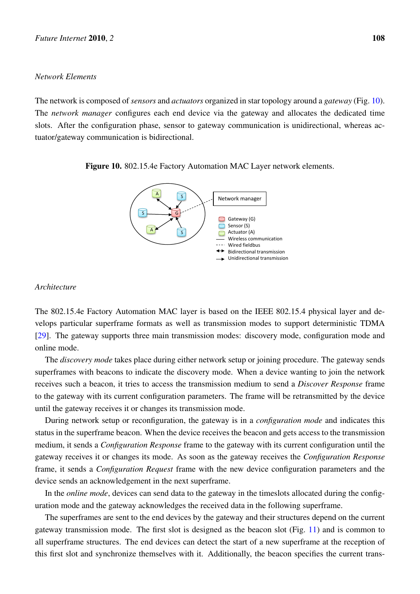### *Network Elements*

<span id="page-12-0"></span>The network is composed of *sensors* and *actuators* organized in star topology around a *gateway* (Fig. [10\)](#page-12-0). The *network manager* configures each end device via the gateway and allocates the dedicated time slots. After the configuration phase, sensor to gateway communication is unidirectional, whereas actuator/gateway communication is bidirectional.

Figure 10. 802.15.4e Factory Automation MAC Layer network elements.



#### *Architecture*

The 802.15.4e Factory Automation MAC layer is based on the IEEE 802.15.4 physical layer and develops particular superframe formats as well as transmission modes to support deterministic TDMA [\[29\]](#page-28-9). The gateway supports three main transmission modes: discovery mode, configuration mode and online mode.

The *discovery mode* takes place during either network setup or joining procedure. The gateway sends superframes with beacons to indicate the discovery mode. When a device wanting to join the network receives such a beacon, it tries to access the transmission medium to send a *Discover Response* frame to the gateway with its current configuration parameters. The frame will be retransmitted by the device until the gateway receives it or changes its transmission mode.

During network setup or reconfiguration, the gateway is in a *configuration mode* and indicates this status in the superframe beacon. When the device receives the beacon and gets access to the transmission medium, it sends a *Configuration Response* frame to the gateway with its current configuration until the gateway receives it or changes its mode. As soon as the gateway receives the *Configuration Response* frame, it sends a *Configuration Request* frame with the new device configuration parameters and the device sends an acknowledgement in the next superframe.

In the *online mode*, devices can send data to the gateway in the timeslots allocated during the configuration mode and the gateway acknowledges the received data in the following superframe.

The superframes are sent to the end devices by the gateway and their structures depend on the current gateway transmission mode. The first slot is designed as the beacon slot (Fig. [11\)](#page-13-1) and is common to all superframe structures. The end devices can detect the start of a new superframe at the reception of this first slot and synchronize themselves with it. Additionally, the beacon specifies the current trans-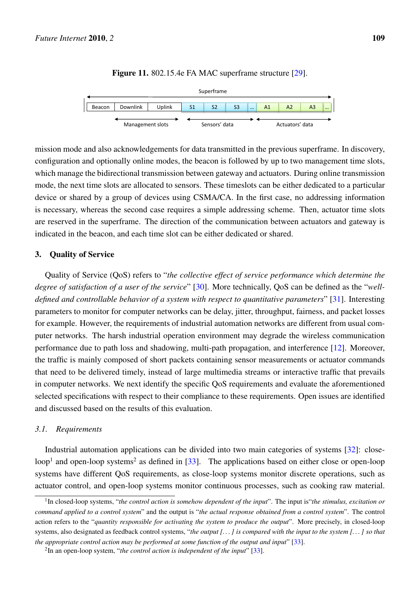<span id="page-13-1"></span>

Figure 11. 802.15.4e FA MAC superframe structure [\[29\]](#page-28-9).

mission mode and also acknowledgements for data transmitted in the previous superframe. In discovery, configuration and optionally online modes, the beacon is followed by up to two management time slots, which manage the bidirectional transmission between gateway and actuators. During online transmission mode, the next time slots are allocated to sensors. These timeslots can be either dedicated to a particular device or shared by a group of devices using CSMA/CA. In the first case, no addressing information is necessary, whereas the second case requires a simple addressing scheme. Then, actuator time slots are reserved in the superframe. The direction of the communication between actuators and gateway is indicated in the beacon, and each time slot can be either dedicated or shared.

## <span id="page-13-0"></span>3. Quality of Service

Quality of Service (QoS) refers to "*the collective effect of service performance which determine the degree of satisfaction of a user of the service*" [\[30\]](#page-28-10). More technically, QoS can be defined as the "*welldefined and controllable behavior of a system with respect to quantitative parameters*" [\[31\]](#page-28-11). Interesting parameters to monitor for computer networks can be delay, jitter, throughput, fairness, and packet losses for example. However, the requirements of industrial automation networks are different from usual computer networks. The harsh industrial operation environment may degrade the wireless communication performance due to path loss and shadowing, multi-path propagation, and interference [\[12\]](#page-27-8). Moreover, the traffic is mainly composed of short packets containing sensor measurements or actuator commands that need to be delivered timely, instead of large multimedia streams or interactive traffic that prevails in computer networks. We next identify the specific QoS requirements and evaluate the aforementioned selected specifications with respect to their compliance to these requirements. Open issues are identified and discussed based on the results of this evaluation.

#### *3.1. Requirements*

Industrial automation applications can be divided into two main categories of systems [\[32\]](#page-28-12): close-loop<sup>1</sup> and open-loop systems<sup>2</sup> as defined in [\[33\]](#page-28-13). The applications based on either close or open-loop systems have different QoS requirements, as close-loop systems monitor discrete operations, such as actuator control, and open-loop systems monitor continuous processes, such as cooking raw material.

<sup>&</sup>lt;sup>1</sup>In closed-loop systems, "the control action is somehow dependent of the input". The input is the stimulus, excitation or *command applied to a control system*" and the output is "*the actual response obtained from a control system*". The control action refers to the "*quantity responsible for activating the system to produce the output*". More precisely, in closed-loop systems, also designated as feedback control systems, "*the output [. . . ] is compared with the input to the system [. . . ] so that the appropriate control action may be performed at some function of the output and input*" [\[33\]](#page-28-13).

<sup>&</sup>lt;sup>2</sup>In an open-loop system, "*the control action is independent of the input*" [\[33\]](#page-28-13).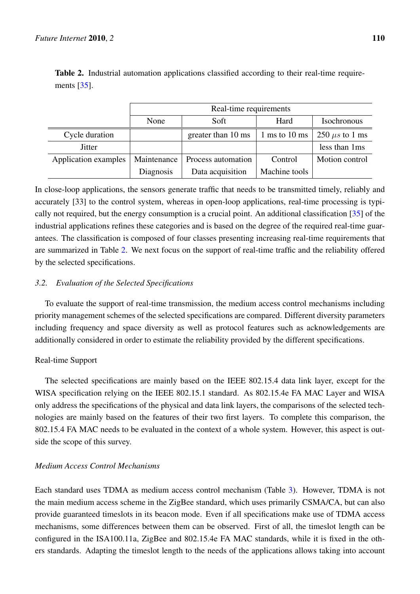|                      | Real-time requirements |                    |               |                     |  |  |
|----------------------|------------------------|--------------------|---------------|---------------------|--|--|
|                      | None                   | Soft               | Hard          | Isochronous         |  |  |
| Cycle duration       |                        | greater than 10 ms | 1 ms to 10 ms | 250 $\mu s$ to 1 ms |  |  |
| Jitter               |                        |                    |               | less than 1ms       |  |  |
| Application examples | Maintenance            | Process automation | Control       | Motion control      |  |  |
|                      | Diagnosis              | Data acquisition   | Machine tools |                     |  |  |

<span id="page-14-0"></span>Table 2. Industrial automation applications classified according to their real-time require-ments [\[35\]](#page-28-14).

In close-loop applications, the sensors generate traffic that needs to be transmitted timely, reliably and accurately [33] to the control system, whereas in open-loop applications, real-time processing is typically not required, but the energy consumption is a crucial point. An additional classification [\[35\]](#page-28-14) of the industrial applications refines these categories and is based on the degree of the required real-time guarantees. The classification is composed of four classes presenting increasing real-time requirements that are summarized in Table [2.](#page-14-0) We next focus on the support of real-time traffic and the reliability offered by the selected specifications.

# *3.2. Evaluation of the Selected Specifications*

To evaluate the support of real-time transmission, the medium access control mechanisms including priority management schemes of the selected specifications are compared. Different diversity parameters including frequency and space diversity as well as protocol features such as acknowledgements are additionally considered in order to estimate the reliability provided by the different specifications.

# Real-time Support

The selected specifications are mainly based on the IEEE 802.15.4 data link layer, except for the WISA specification relying on the IEEE 802.15.1 standard. As 802.15.4e FA MAC Layer and WISA only address the specifications of the physical and data link layers, the comparisons of the selected technologies are mainly based on the features of their two first layers. To complete this comparison, the 802.15.4 FA MAC needs to be evaluated in the context of a whole system. However, this aspect is outside the scope of this survey.

# *Medium Access Control Mechanisms*

Each standard uses TDMA as medium access control mechanism (Table [3\)](#page-16-0). However, TDMA is not the main medium access scheme in the ZigBee standard, which uses primarily CSMA/CA, but can also provide guaranteed timeslots in its beacon mode. Even if all specifications make use of TDMA access mechanisms, some differences between them can be observed. First of all, the timeslot length can be configured in the ISA100.11a, ZigBee and 802.15.4e FA MAC standards, while it is fixed in the others standards. Adapting the timeslot length to the needs of the applications allows taking into account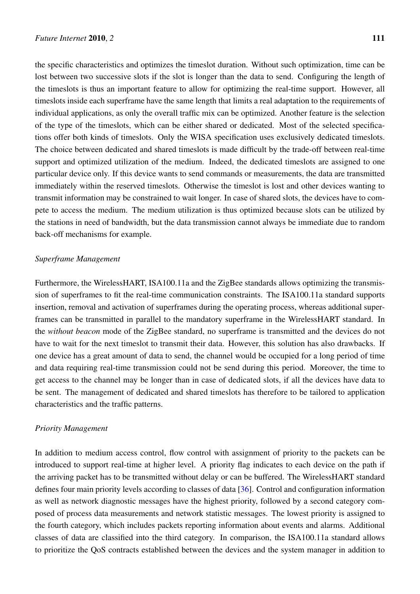the specific characteristics and optimizes the timeslot duration. Without such optimization, time can be lost between two successive slots if the slot is longer than the data to send. Configuring the length of the timeslots is thus an important feature to allow for optimizing the real-time support. However, all timeslots inside each superframe have the same length that limits a real adaptation to the requirements of individual applications, as only the overall traffic mix can be optimized. Another feature is the selection of the type of the timeslots, which can be either shared or dedicated. Most of the selected specifications offer both kinds of timeslots. Only the WISA specification uses exclusively dedicated timeslots. The choice between dedicated and shared timeslots is made difficult by the trade-off between real-time support and optimized utilization of the medium. Indeed, the dedicated timeslots are assigned to one particular device only. If this device wants to send commands or measurements, the data are transmitted immediately within the reserved timeslots. Otherwise the timeslot is lost and other devices wanting to transmit information may be constrained to wait longer. In case of shared slots, the devices have to compete to access the medium. The medium utilization is thus optimized because slots can be utilized by the stations in need of bandwidth, but the data transmission cannot always be immediate due to random back-off mechanisms for example.

## *Superframe Management*

Furthermore, the WirelessHART, ISA100.11a and the ZigBee standards allows optimizing the transmission of superframes to fit the real-time communication constraints. The ISA100.11a standard supports insertion, removal and activation of superframes during the operating process, whereas additional superframes can be transmitted in parallel to the mandatory superframe in the WirelessHART standard. In the *without beacon* mode of the ZigBee standard, no superframe is transmitted and the devices do not have to wait for the next timeslot to transmit their data. However, this solution has also drawbacks. If one device has a great amount of data to send, the channel would be occupied for a long period of time and data requiring real-time transmission could not be send during this period. Moreover, the time to get access to the channel may be longer than in case of dedicated slots, if all the devices have data to be sent. The management of dedicated and shared timeslots has therefore to be tailored to application characteristics and the traffic patterns.

## *Priority Management*

In addition to medium access control, flow control with assignment of priority to the packets can be introduced to support real-time at higher level. A priority flag indicates to each device on the path if the arriving packet has to be transmitted without delay or can be buffered. The WirelessHART standard defines four main priority levels according to classes of data [\[36\]](#page-28-15). Control and configuration information as well as network diagnostic messages have the highest priority, followed by a second category composed of process data measurements and network statistic messages. The lowest priority is assigned to the fourth category, which includes packets reporting information about events and alarms. Additional classes of data are classified into the third category. In comparison, the ISA100.11a standard allows to prioritize the QoS contracts established between the devices and the system manager in addition to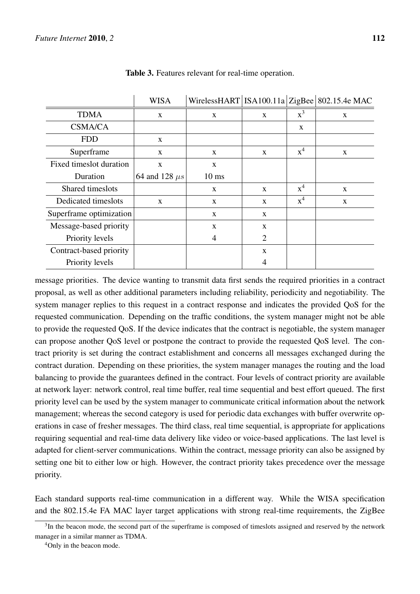<span id="page-16-0"></span>

|                         | <b>WISA</b>        |                 |              |       | WirelessHART ISA100.11a ZigBee 802.15.4e MAC |
|-------------------------|--------------------|-----------------|--------------|-------|----------------------------------------------|
| <b>TDMA</b>             | X                  | X               | $\mathbf{x}$ | $x^3$ | X                                            |
| <b>CSMA/CA</b>          |                    |                 |              | X     |                                              |
| <b>FDD</b>              | X                  |                 |              |       |                                              |
| Superframe              | X                  | X               | X            | $x^4$ | X                                            |
| Fixed times ot duration | X                  | X               |              |       |                                              |
| Duration                | 64 and 128 $\mu s$ | $10 \text{ ms}$ |              |       |                                              |
| Shared timeslots        |                    | X               | $\mathbf{x}$ | $x^4$ | X                                            |
| Dedicated timeslots     | X                  | X               | $\mathbf{X}$ | $x^4$ | X                                            |
| Superframe optimization |                    | X               | X            |       |                                              |
| Message-based priority  |                    | X               | $\mathbf{x}$ |       |                                              |
| Priority levels         |                    | 4               | 2            |       |                                              |
| Contract-based priority |                    |                 | $\mathbf{x}$ |       |                                              |
| Priority levels         |                    |                 | 4            |       |                                              |

Table 3. Features relevant for real-time operation.

message priorities. The device wanting to transmit data first sends the required priorities in a contract proposal, as well as other additional parameters including reliability, periodicity and negotiability. The system manager replies to this request in a contract response and indicates the provided QoS for the requested communication. Depending on the traffic conditions, the system manager might not be able to provide the requested QoS. If the device indicates that the contract is negotiable, the system manager can propose another QoS level or postpone the contract to provide the requested QoS level. The contract priority is set during the contract establishment and concerns all messages exchanged during the contract duration. Depending on these priorities, the system manager manages the routing and the load balancing to provide the guarantees defined in the contract. Four levels of contract priority are available at network layer: network control, real time buffer, real time sequential and best effort queued. The first priority level can be used by the system manager to communicate critical information about the network management; whereas the second category is used for periodic data exchanges with buffer overwrite operations in case of fresher messages. The third class, real time sequential, is appropriate for applications requiring sequential and real-time data delivery like video or voice-based applications. The last level is adapted for client-server communications. Within the contract, message priority can also be assigned by setting one bit to either low or high. However, the contract priority takes precedence over the message priority.

Each standard supports real-time communication in a different way. While the WISA specification and the 802.15.4e FA MAC layer target applications with strong real-time requirements, the ZigBee

 $3$ In the beacon mode, the second part of the superframe is composed of timeslots assigned and reserved by the network manager in a similar manner as TDMA.

<sup>4</sup>Only in the beacon mode.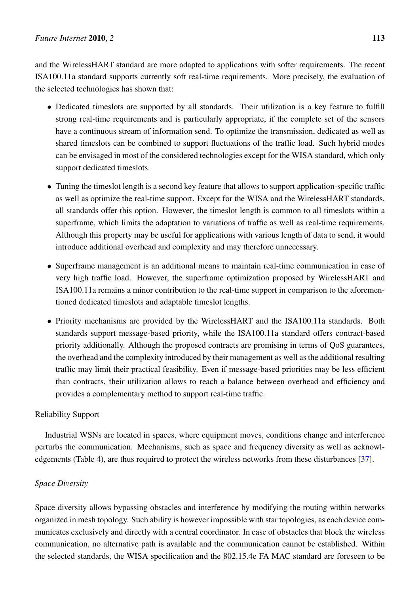and the WirelessHART standard are more adapted to applications with softer requirements. The recent ISA100.11a standard supports currently soft real-time requirements. More precisely, the evaluation of the selected technologies has shown that:

- Dedicated timeslots are supported by all standards. Their utilization is a key feature to fulfill strong real-time requirements and is particularly appropriate, if the complete set of the sensors have a continuous stream of information send. To optimize the transmission, dedicated as well as shared timeslots can be combined to support fluctuations of the traffic load. Such hybrid modes can be envisaged in most of the considered technologies except for the WISA standard, which only support dedicated timeslots.
- Tuning the timeslot length is a second key feature that allows to support application-specific traffic as well as optimize the real-time support. Except for the WISA and the WirelessHART standards, all standards offer this option. However, the timeslot length is common to all timeslots within a superframe, which limits the adaptation to variations of traffic as well as real-time requirements. Although this property may be useful for applications with various length of data to send, it would introduce additional overhead and complexity and may therefore unnecessary.
- Superframe management is an additional means to maintain real-time communication in case of very high traffic load. However, the superframe optimization proposed by WirelessHART and ISA100.11a remains a minor contribution to the real-time support in comparison to the aforementioned dedicated timeslots and adaptable timeslot lengths.
- Priority mechanisms are provided by the WirelessHART and the ISA100.11a standards. Both standards support message-based priority, while the ISA100.11a standard offers contract-based priority additionally. Although the proposed contracts are promising in terms of QoS guarantees, the overhead and the complexity introduced by their management as well as the additional resulting traffic may limit their practical feasibility. Even if message-based priorities may be less efficient than contracts, their utilization allows to reach a balance between overhead and efficiency and provides a complementary method to support real-time traffic.

# Reliability Support

Industrial WSNs are located in spaces, where equipment moves, conditions change and interference perturbs the communication. Mechanisms, such as space and frequency diversity as well as acknowledgements (Table [4\)](#page-18-0), are thus required to protect the wireless networks from these disturbances [\[37\]](#page-28-16).

# *Space Diversity*

Space diversity allows bypassing obstacles and interference by modifying the routing within networks organized in mesh topology. Such ability is however impossible with star topologies, as each device communicates exclusively and directly with a central coordinator. In case of obstacles that block the wireless communication, no alternative path is available and the communication cannot be established. Within the selected standards, the WISA specification and the 802.15.4e FA MAC standard are foreseen to be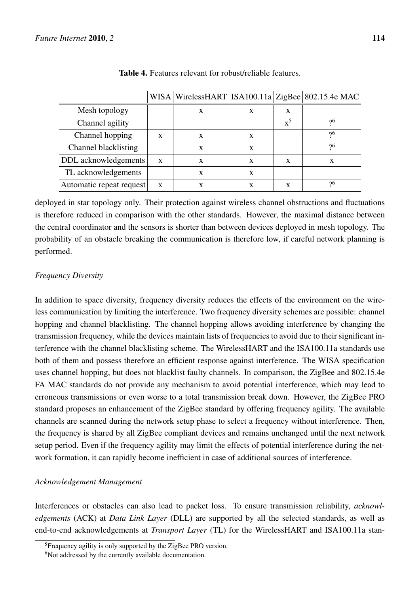<span id="page-18-0"></span>

|                          |              |   |   |       | WISA WIFERESSTAKI   ISAIVU.I I a ZIgDEC   $\delta$ UZ.I J.4C MAC |
|--------------------------|--------------|---|---|-------|------------------------------------------------------------------|
| Mesh topology            |              | X | X | X     |                                                                  |
| Channel agility          |              |   |   | $x^5$ | 96                                                               |
| Channel hopping          | X            | X | X |       | 96                                                               |
| Channel blacklisting     |              | X | х |       | ენ                                                               |
| DDL acknowledgements     | $\mathbf{x}$ | X | X | X     | X                                                                |
| TL acknowledgements      |              | X | X |       |                                                                  |
| Automatic repeat request | $\mathbf{x}$ |   |   | х     | 96.                                                              |

Table 4. Features relevant for robust/reliable features.

WIS A WEIGHT A DELTA 100.11<sup>a</sup>  $Z_{i\alpha}$  $_{\alpha}$  $_{\alpha}$  802.15.4e MAC

deployed in star topology only. Their protection against wireless channel obstructions and fluctuations is therefore reduced in comparison with the other standards. However, the maximal distance between the central coordinator and the sensors is shorter than between devices deployed in mesh topology. The probability of an obstacle breaking the communication is therefore low, if careful network planning is performed.

# *Frequency Diversity*

In addition to space diversity, frequency diversity reduces the effects of the environment on the wireless communication by limiting the interference. Two frequency diversity schemes are possible: channel hopping and channel blacklisting. The channel hopping allows avoiding interference by changing the transmission frequency, while the devices maintain lists of frequencies to avoid due to their significant interference with the channel blacklisting scheme. The WirelessHART and the ISA100.11a standards use both of them and possess therefore an efficient response against interference. The WISA specification uses channel hopping, but does not blacklist faulty channels. In comparison, the ZigBee and 802.15.4e FA MAC standards do not provide any mechanism to avoid potential interference, which may lead to erroneous transmissions or even worse to a total transmission break down. However, the ZigBee PRO standard proposes an enhancement of the ZigBee standard by offering frequency agility. The available channels are scanned during the network setup phase to select a frequency without interference. Then, the frequency is shared by all ZigBee compliant devices and remains unchanged until the next network setup period. Even if the frequency agility may limit the effects of potential interference during the network formation, it can rapidly become inefficient in case of additional sources of interference.

# *Acknowledgement Management*

Interferences or obstacles can also lead to packet loss. To ensure transmission reliability, *acknowledgements* (ACK) at *Data Link Layer* (DLL) are supported by all the selected standards, as well as end-to-end acknowledgements at *Transport Layer* (TL) for the WirelessHART and ISA100.11a stan-

<sup>&</sup>lt;sup>5</sup>Frequency agility is only supported by the ZigBee PRO version.

 $6$ Not addressed by the currently available documentation.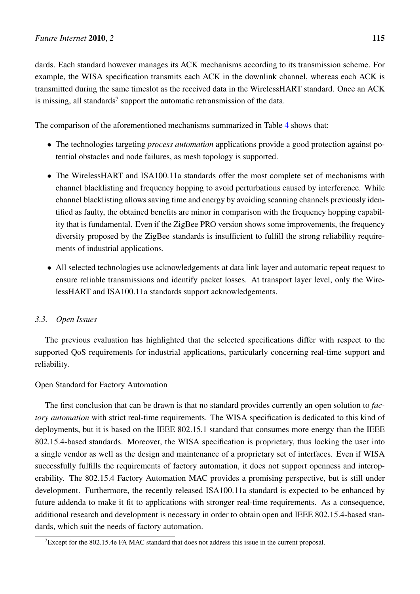dards. Each standard however manages its ACK mechanisms according to its transmission scheme. For example, the WISA specification transmits each ACK in the downlink channel, whereas each ACK is transmitted during the same timeslot as the received data in the WirelessHART standard. Once an ACK is missing, all standards<sup>7</sup> support the automatic retransmission of the data.

The comparison of the aforementioned mechanisms summarized in Table [4](#page-18-0) shows that:

- The technologies targeting *process automation* applications provide a good protection against potential obstacles and node failures, as mesh topology is supported.
- The WirelessHART and ISA100.11a standards offer the most complete set of mechanisms with channel blacklisting and frequency hopping to avoid perturbations caused by interference. While channel blacklisting allows saving time and energy by avoiding scanning channels previously identified as faulty, the obtained benefits are minor in comparison with the frequency hopping capability that is fundamental. Even if the ZigBee PRO version shows some improvements, the frequency diversity proposed by the ZigBee standards is insufficient to fulfill the strong reliability requirements of industrial applications.
- All selected technologies use acknowledgements at data link layer and automatic repeat request to ensure reliable transmissions and identify packet losses. At transport layer level, only the WirelessHART and ISA100.11a standards support acknowledgements.

# *3.3. Open Issues*

The previous evaluation has highlighted that the selected specifications differ with respect to the supported QoS requirements for industrial applications, particularly concerning real-time support and reliability.

# Open Standard for Factory Automation

The first conclusion that can be drawn is that no standard provides currently an open solution to *factory automation* with strict real-time requirements. The WISA specification is dedicated to this kind of deployments, but it is based on the IEEE 802.15.1 standard that consumes more energy than the IEEE 802.15.4-based standards. Moreover, the WISA specification is proprietary, thus locking the user into a single vendor as well as the design and maintenance of a proprietary set of interfaces. Even if WISA successfully fulfills the requirements of factory automation, it does not support openness and interoperability. The 802.15.4 Factory Automation MAC provides a promising perspective, but is still under development. Furthermore, the recently released ISA100.11a standard is expected to be enhanced by future addenda to make it fit to applications with stronger real-time requirements. As a consequence, additional research and development is necessary in order to obtain open and IEEE 802.15.4-based standards, which suit the needs of factory automation.

 $7E$ xcept for the 802.15.4e FA MAC standard that does not address this issue in the current proposal.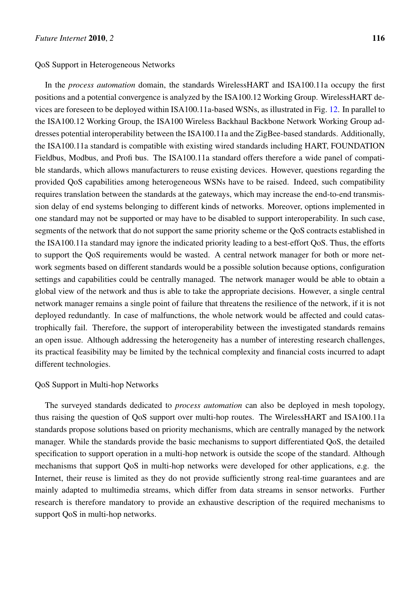#### QoS Support in Heterogeneous Networks

In the *process automation* domain, the standards WirelessHART and ISA100.11a occupy the first positions and a potential convergence is analyzed by the ISA100.12 Working Group. WirelessHART devices are foreseen to be deployed within ISA100.11a-based WSNs, as illustrated in Fig. [12.](#page-21-1) In parallel to the ISA100.12 Working Group, the ISA100 Wireless Backhaul Backbone Network Working Group addresses potential interoperability between the ISA100.11a and the ZigBee-based standards. Additionally, the ISA100.11a standard is compatible with existing wired standards including HART, FOUNDATION Fieldbus, Modbus, and Profi bus. The ISA100.11a standard offers therefore a wide panel of compatible standards, which allows manufacturers to reuse existing devices. However, questions regarding the provided QoS capabilities among heterogeneous WSNs have to be raised. Indeed, such compatibility requires translation between the standards at the gateways, which may increase the end-to-end transmission delay of end systems belonging to different kinds of networks. Moreover, options implemented in one standard may not be supported or may have to be disabled to support interoperability. In such case, segments of the network that do not support the same priority scheme or the QoS contracts established in the ISA100.11a standard may ignore the indicated priority leading to a best-effort QoS. Thus, the efforts to support the QoS requirements would be wasted. A central network manager for both or more network segments based on different standards would be a possible solution because options, configuration settings and capabilities could be centrally managed. The network manager would be able to obtain a global view of the network and thus is able to take the appropriate decisions. However, a single central network manager remains a single point of failure that threatens the resilience of the network, if it is not deployed redundantly. In case of malfunctions, the whole network would be affected and could catastrophically fail. Therefore, the support of interoperability between the investigated standards remains an open issue. Although addressing the heterogeneity has a number of interesting research challenges, its practical feasibility may be limited by the technical complexity and financial costs incurred to adapt different technologies.

# QoS Support in Multi-hop Networks

The surveyed standards dedicated to *process automation* can also be deployed in mesh topology, thus raising the question of QoS support over multi-hop routes. The WirelessHART and ISA100.11a standards propose solutions based on priority mechanisms, which are centrally managed by the network manager. While the standards provide the basic mechanisms to support differentiated QoS, the detailed specification to support operation in a multi-hop network is outside the scope of the standard. Although mechanisms that support QoS in multi-hop networks were developed for other applications, e.g. the Internet, their reuse is limited as they do not provide sufficiently strong real-time guarantees and are mainly adapted to multimedia streams, which differ from data streams in sensor networks. Further research is therefore mandatory to provide an exhaustive description of the required mechanisms to support QoS in multi-hop networks.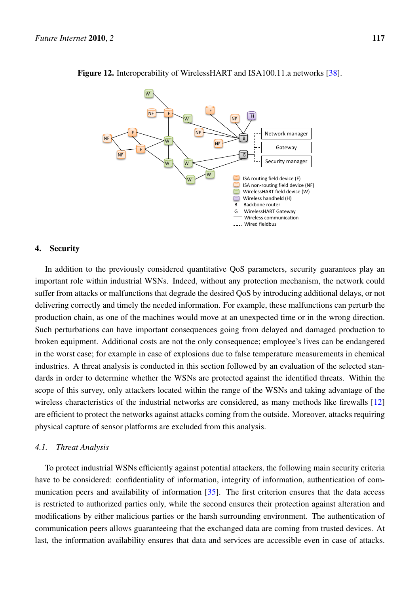

<span id="page-21-1"></span>Figure 12. Interoperability of WirelessHART and ISA100.11.a networks [\[38\]](#page-29-0).

## <span id="page-21-0"></span>4. Security

In addition to the previously considered quantitative QoS parameters, security guarantees play an important role within industrial WSNs. Indeed, without any protection mechanism, the network could suffer from attacks or malfunctions that degrade the desired QoS by introducing additional delays, or not delivering correctly and timely the needed information. For example, these malfunctions can perturb the production chain, as one of the machines would move at an unexpected time or in the wrong direction. Such perturbations can have important consequences going from delayed and damaged production to broken equipment. Additional costs are not the only consequence; employee's lives can be endangered in the worst case; for example in case of explosions due to false temperature measurements in chemical industries. A threat analysis is conducted in this section followed by an evaluation of the selected standards in order to determine whether the WSNs are protected against the identified threats. Within the scope of this survey, only attackers located within the range of the WSNs and taking advantage of the wireless characteristics of the industrial networks are considered, as many methods like firewalls [\[12\]](#page-27-8) are efficient to protect the networks against attacks coming from the outside. Moreover, attacks requiring physical capture of sensor platforms are excluded from this analysis.

#### *4.1. Threat Analysis*

To protect industrial WSNs efficiently against potential attackers, the following main security criteria have to be considered: confidentiality of information, integrity of information, authentication of communication peers and availability of information [\[35\]](#page-28-14). The first criterion ensures that the data access is restricted to authorized parties only, while the second ensures their protection against alteration and modifications by either malicious parties or the harsh surrounding environment. The authentication of communication peers allows guaranteeing that the exchanged data are coming from trusted devices. At last, the information availability ensures that data and services are accessible even in case of attacks.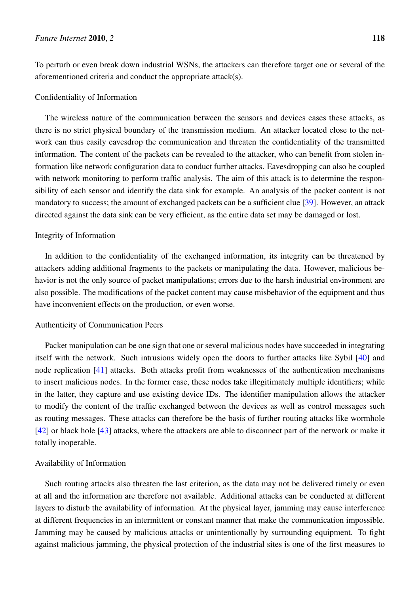To perturb or even break down industrial WSNs, the attackers can therefore target one or several of the aforementioned criteria and conduct the appropriate attack(s).

#### Confidentiality of Information

The wireless nature of the communication between the sensors and devices eases these attacks, as there is no strict physical boundary of the transmission medium. An attacker located close to the network can thus easily eavesdrop the communication and threaten the confidentiality of the transmitted information. The content of the packets can be revealed to the attacker, who can benefit from stolen information like network configuration data to conduct further attacks. Eavesdropping can also be coupled with network monitoring to perform traffic analysis. The aim of this attack is to determine the responsibility of each sensor and identify the data sink for example. An analysis of the packet content is not mandatory to success; the amount of exchanged packets can be a sufficient clue [\[39\]](#page-29-1). However, an attack directed against the data sink can be very efficient, as the entire data set may be damaged or lost.

## Integrity of Information

In addition to the confidentiality of the exchanged information, its integrity can be threatened by attackers adding additional fragments to the packets or manipulating the data. However, malicious behavior is not the only source of packet manipulations; errors due to the harsh industrial environment are also possible. The modifications of the packet content may cause misbehavior of the equipment and thus have inconvenient effects on the production, or even worse.

## Authenticity of Communication Peers

Packet manipulation can be one sign that one or several malicious nodes have succeeded in integrating itself with the network. Such intrusions widely open the doors to further attacks like Sybil [\[40\]](#page-29-2) and node replication [\[41\]](#page-29-3) attacks. Both attacks profit from weaknesses of the authentication mechanisms to insert malicious nodes. In the former case, these nodes take illegitimately multiple identifiers; while in the latter, they capture and use existing device IDs. The identifier manipulation allows the attacker to modify the content of the traffic exchanged between the devices as well as control messages such as routing messages. These attacks can therefore be the basis of further routing attacks like wormhole [\[42\]](#page-29-4) or black hole [\[43\]](#page-29-5) attacks, where the attackers are able to disconnect part of the network or make it totally inoperable.

#### Availability of Information

Such routing attacks also threaten the last criterion, as the data may not be delivered timely or even at all and the information are therefore not available. Additional attacks can be conducted at different layers to disturb the availability of information. At the physical layer, jamming may cause interference at different frequencies in an intermittent or constant manner that make the communication impossible. Jamming may be caused by malicious attacks or unintentionally by surrounding equipment. To fight against malicious jamming, the physical protection of the industrial sites is one of the first measures to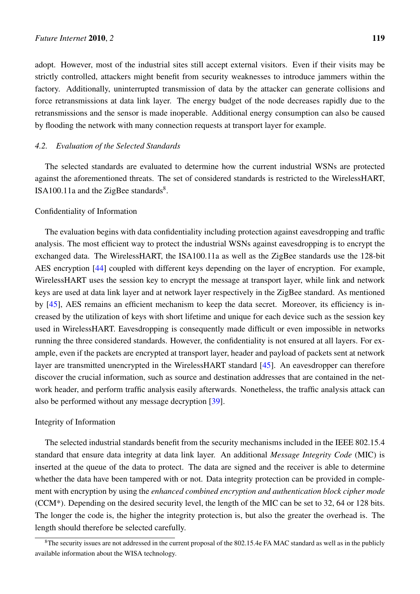adopt. However, most of the industrial sites still accept external visitors. Even if their visits may be strictly controlled, attackers might benefit from security weaknesses to introduce jammers within the factory. Additionally, uninterrupted transmission of data by the attacker can generate collisions and force retransmissions at data link layer. The energy budget of the node decreases rapidly due to the retransmissions and the sensor is made inoperable. Additional energy consumption can also be caused by flooding the network with many connection requests at transport layer for example.

#### *4.2. Evaluation of the Selected Standards*

The selected standards are evaluated to determine how the current industrial WSNs are protected against the aforementioned threats. The set of considered standards is restricted to the WirelessHART, ISA100.11a and the ZigBee standards<sup>8</sup>.

#### Confidentiality of Information

The evaluation begins with data confidentiality including protection against eavesdropping and traffic analysis. The most efficient way to protect the industrial WSNs against eavesdropping is to encrypt the exchanged data. The WirelessHART, the ISA100.11a as well as the ZigBee standards use the 128-bit AES encryption [\[44\]](#page-29-6) coupled with different keys depending on the layer of encryption. For example, WirelessHART uses the session key to encrypt the message at transport layer, while link and network keys are used at data link layer and at network layer respectively in the ZigBee standard. As mentioned by [\[45\]](#page-29-7), AES remains an efficient mechanism to keep the data secret. Moreover, its efficiency is increased by the utilization of keys with short lifetime and unique for each device such as the session key used in WirelessHART. Eavesdropping is consequently made difficult or even impossible in networks running the three considered standards. However, the confidentiality is not ensured at all layers. For example, even if the packets are encrypted at transport layer, header and payload of packets sent at network layer are transmitted unencrypted in the WirelessHART standard [\[45\]](#page-29-7). An eavesdropper can therefore discover the crucial information, such as source and destination addresses that are contained in the network header, and perform traffic analysis easily afterwards. Nonetheless, the traffic analysis attack can also be performed without any message decryption [\[39\]](#page-29-1).

## Integrity of Information

The selected industrial standards benefit from the security mechanisms included in the IEEE 802.15.4 standard that ensure data integrity at data link layer. An additional *Message Integrity Code* (MIC) is inserted at the queue of the data to protect. The data are signed and the receiver is able to determine whether the data have been tampered with or not. Data integrity protection can be provided in complement with encryption by using the *enhanced combined encryption and authentication block cipher mode* (CCM\*). Depending on the desired security level, the length of the MIC can be set to 32, 64 or 128 bits. The longer the code is, the higher the integrity protection is, but also the greater the overhead is. The length should therefore be selected carefully.

<sup>&</sup>lt;sup>8</sup>The security issues are not addressed in the current proposal of the 802.15.4e FA MAC standard as well as in the publicly available information about the WISA technology.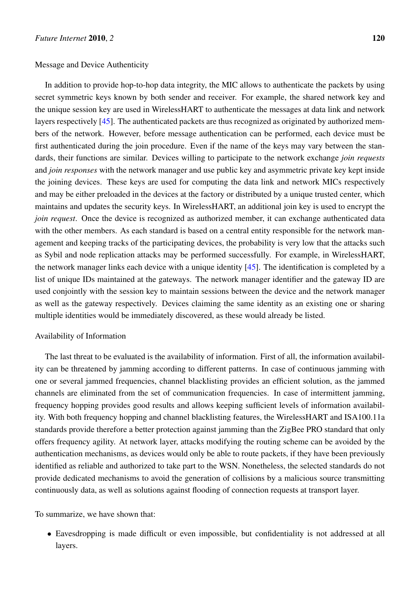#### Message and Device Authenticity

In addition to provide hop-to-hop data integrity, the MIC allows to authenticate the packets by using secret symmetric keys known by both sender and receiver. For example, the shared network key and the unique session key are used in WirelessHART to authenticate the messages at data link and network layers respectively [\[45\]](#page-29-7). The authenticated packets are thus recognized as originated by authorized members of the network. However, before message authentication can be performed, each device must be first authenticated during the join procedure. Even if the name of the keys may vary between the standards, their functions are similar. Devices willing to participate to the network exchange *join requests* and *join responses* with the network manager and use public key and asymmetric private key kept inside the joining devices. These keys are used for computing the data link and network MICs respectively and may be either preloaded in the devices at the factory or distributed by a unique trusted center, which maintains and updates the security keys. In WirelessHART, an additional join key is used to encrypt the *join request*. Once the device is recognized as authorized member, it can exchange authenticated data with the other members. As each standard is based on a central entity responsible for the network management and keeping tracks of the participating devices, the probability is very low that the attacks such as Sybil and node replication attacks may be performed successfully. For example, in WirelessHART, the network manager links each device with a unique identity [\[45\]](#page-29-7). The identification is completed by a list of unique IDs maintained at the gateways. The network manager identifier and the gateway ID are used conjointly with the session key to maintain sessions between the device and the network manager as well as the gateway respectively. Devices claiming the same identity as an existing one or sharing multiple identities would be immediately discovered, as these would already be listed.

#### Availability of Information

The last threat to be evaluated is the availability of information. First of all, the information availability can be threatened by jamming according to different patterns. In case of continuous jamming with one or several jammed frequencies, channel blacklisting provides an efficient solution, as the jammed channels are eliminated from the set of communication frequencies. In case of intermittent jamming, frequency hopping provides good results and allows keeping sufficient levels of information availability. With both frequency hopping and channel blacklisting features, the WirelessHART and ISA100.11a standards provide therefore a better protection against jamming than the ZigBee PRO standard that only offers frequency agility. At network layer, attacks modifying the routing scheme can be avoided by the authentication mechanisms, as devices would only be able to route packets, if they have been previously identified as reliable and authorized to take part to the WSN. Nonetheless, the selected standards do not provide dedicated mechanisms to avoid the generation of collisions by a malicious source transmitting continuously data, as well as solutions against flooding of connection requests at transport layer.

To summarize, we have shown that:

• Eavesdropping is made difficult or even impossible, but confidentiality is not addressed at all layers.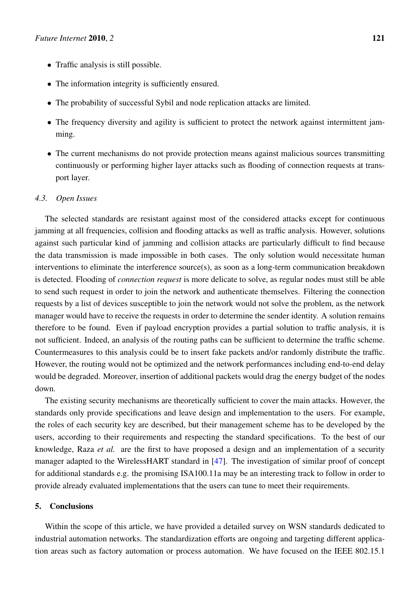- Traffic analysis is still possible.
- The information integrity is sufficiently ensured.
- The probability of successful Sybil and node replication attacks are limited.
- The frequency diversity and agility is sufficient to protect the network against intermittent jamming.
- The current mechanisms do not provide protection means against malicious sources transmitting continuously or performing higher layer attacks such as flooding of connection requests at transport layer.

#### *4.3. Open Issues*

The selected standards are resistant against most of the considered attacks except for continuous jamming at all frequencies, collision and flooding attacks as well as traffic analysis. However, solutions against such particular kind of jamming and collision attacks are particularly difficult to find because the data transmission is made impossible in both cases. The only solution would necessitate human interventions to eliminate the interference source(s), as soon as a long-term communication breakdown is detected. Flooding of *connection request* is more delicate to solve, as regular nodes must still be able to send such request in order to join the network and authenticate themselves. Filtering the connection requests by a list of devices susceptible to join the network would not solve the problem, as the network manager would have to receive the requests in order to determine the sender identity. A solution remains therefore to be found. Even if payload encryption provides a partial solution to traffic analysis, it is not sufficient. Indeed, an analysis of the routing paths can be sufficient to determine the traffic scheme. Countermeasures to this analysis could be to insert fake packets and/or randomly distribute the traffic. However, the routing would not be optimized and the network performances including end-to-end delay would be degraded. Moreover, insertion of additional packets would drag the energy budget of the nodes down.

The existing security mechanisms are theoretically sufficient to cover the main attacks. However, the standards only provide specifications and leave design and implementation to the users. For example, the roles of each security key are described, but their management scheme has to be developed by the users, according to their requirements and respecting the standard specifications. To the best of our knowledge, Raza *et al.* are the first to have proposed a design and an implementation of a security manager adapted to the WirelessHART standard in [\[47\]](#page-29-8). The investigation of similar proof of concept for additional standards e.g. the promising ISA100.11a may be an interesting track to follow in order to provide already evaluated implementations that the users can tune to meet their requirements.

## <span id="page-25-0"></span>5. Conclusions

Within the scope of this article, we have provided a detailed survey on WSN standards dedicated to industrial automation networks. The standardization efforts are ongoing and targeting different application areas such as factory automation or process automation. We have focused on the IEEE 802.15.1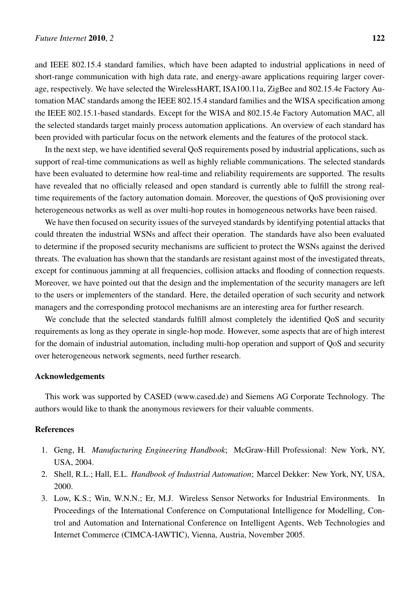and IEEE 802.15.4 standard families, which have been adapted to industrial applications in need of short-range communication with high data rate, and energy-aware applications requiring larger coverage, respectively. We have selected the WirelessHART, ISA100.11a, ZigBee and 802.15.4e Factory Automation MAC standards among the IEEE 802.15.4 standard families and the WISA specification among the IEEE 802.15.1-based standards. Except for the WISA and 802.15.4e Factory Automation MAC, all the selected standards target mainly process automation applications. An overview of each standard has been provided with particular focus on the network elements and the features of the protocol stack.

In the next step, we have identified several QoS requirements posed by industrial applications, such as support of real-time communications as well as highly reliable communications. The selected standards have been evaluated to determine how real-time and reliability requirements are supported. The results have revealed that no officially released and open standard is currently able to fulfill the strong realtime requirements of the factory automation domain. Moreover, the questions of QoS provisioning over heterogeneous networks as well as over multi-hop routes in homogeneous networks have been raised.

We have then focused on security issues of the surveyed standards by identifying potential attacks that could threaten the industrial WSNs and affect their operation. The standards have also been evaluated to determine if the proposed security mechanisms are sufficient to protect the WSNs against the derived threats. The evaluation has shown that the standards are resistant against most of the investigated threats, except for continuous jamming at all frequencies, collision attacks and flooding of connection requests. Moreover, we have pointed out that the design and the implementation of the security managers are left to the users or implementers of the standard. Here, the detailed operation of such security and network managers and the corresponding protocol mechanisms are an interesting area for further research.

We conclude that the selected standards fulfill almost completely the identified QoS and security requirements as long as they operate in single-hop mode. However, some aspects that are of high interest for the domain of industrial automation, including multi-hop operation and support of QoS and security over heterogeneous network segments, need further research.

#### Acknowledgements

This work was supported by CASED (www.cased.de) and Siemens AG Corporate Technology. The authors would like to thank the anonymous reviewers for their valuable comments.

#### References

- <span id="page-26-0"></span>1. Geng, H. *Manufacturing Engineering Handbook*; McGraw-Hill Professional: New York, NY, USA, 2004.
- <span id="page-26-1"></span>2. Shell, R.L.; Hall, E.L. *Handbook of Industrial Automation*; Marcel Dekker: New York, NY, USA, 2000.
- <span id="page-26-2"></span>3. Low, K.S.; Win, W.N.N.; Er, M.J. Wireless Sensor Networks for Industrial Environments. In Proceedings of the International Conference on Computational Intelligence for Modelling, Control and Automation and International Conference on Intelligent Agents, Web Technologies and Internet Commerce (CIMCA-IAWTIC), Vienna, Austria, November 2005.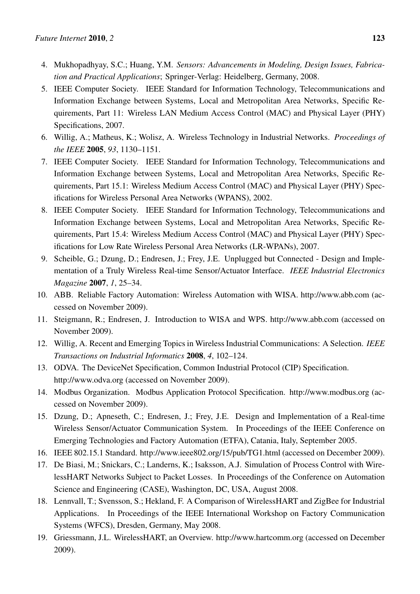- <span id="page-27-0"></span>4. Mukhopadhyay, S.C.; Huang, Y.M. *Sensors: Advancements in Modeling, Design Issues, Fabrication and Practical Applications*; Springer-Verlag: Heidelberg, Germany, 2008.
- <span id="page-27-1"></span>5. IEEE Computer Society. IEEE Standard for Information Technology, Telecommunications and Information Exchange between Systems, Local and Metropolitan Area Networks, Specific Requirements, Part 11: Wireless LAN Medium Access Control (MAC) and Physical Layer (PHY) Specifications, 2007.
- <span id="page-27-2"></span>6. Willig, A.; Matheus, K.; Wolisz, A. Wireless Technology in Industrial Networks. *Proceedings of the IEEE* 2005, *93*, 1130–1151.
- <span id="page-27-3"></span>7. IEEE Computer Society. IEEE Standard for Information Technology, Telecommunications and Information Exchange between Systems, Local and Metropolitan Area Networks, Specific Requirements, Part 15.1: Wireless Medium Access Control (MAC) and Physical Layer (PHY) Specifications for Wireless Personal Area Networks (WPANS), 2002.
- <span id="page-27-4"></span>8. IEEE Computer Society. IEEE Standard for Information Technology, Telecommunications and Information Exchange between Systems, Local and Metropolitan Area Networks, Specific Requirements, Part 15.4: Wireless Medium Access Control (MAC) and Physical Layer (PHY) Specifications for Low Rate Wireless Personal Area Networks (LR-WPANs), 2007.
- <span id="page-27-5"></span>9. Scheible, G.; Dzung, D.; Endresen, J.; Frey, J.E. Unplugged but Connected - Design and Implementation of a Truly Wireless Real-time Sensor/Actuator Interface. *IEEE Industrial Electronics Magazine* 2007, *1*, 25–34.
- <span id="page-27-6"></span>10. ABB. Reliable Factory Automation: Wireless Automation with WISA. http://www.abb.com (accessed on November 2009).
- <span id="page-27-7"></span>11. Steigmann, R.; Endresen, J. Introduction to WISA and WPS. http://www.abb.com (accessed on November 2009).
- <span id="page-27-8"></span>12. Willig, A. Recent and Emerging Topics in Wireless Industrial Communications: A Selection. *IEEE Transactions on Industrial Informatics* 2008, *4*, 102–124.
- <span id="page-27-9"></span>13. ODVA. The DeviceNet Specification, Common Industrial Protocol (CIP) Specification. http://www.odva.org (accessed on November 2009).
- <span id="page-27-10"></span>14. Modbus Organization. Modbus Application Protocol Specification. http://www.modbus.org (accessed on November 2009).
- <span id="page-27-11"></span>15. Dzung, D.; Apneseth, C.; Endresen, J.; Frey, J.E. Design and Implementation of a Real-time Wireless Sensor/Actuator Communication System. In Proceedings of the IEEE Conference on Emerging Technologies and Factory Automation (ETFA), Catania, Italy, September 2005.
- <span id="page-27-12"></span>16. IEEE 802.15.1 Standard. http://www.ieee802.org/15/pub/TG1.html (accessed on December 2009).
- <span id="page-27-13"></span>17. De Biasi, M.; Snickars, C.; Landerns, K.; Isaksson, A.J. Simulation of Process Control with WirelessHART Networks Subject to Packet Losses. In Proceedings of the Conference on Automation Science and Engineering (CASE), Washington, DC, USA, August 2008.
- <span id="page-27-15"></span>18. Lennvall, T.; Svensson, S.; Hekland, F. A Comparison of WirelessHART and ZigBee for Industrial Applications. In Proceedings of the IEEE International Workshop on Factory Communication Systems (WFCS), Dresden, Germany, May 2008.
- <span id="page-27-14"></span>19. Griessmann, J.L. WirelessHART, an Overview. http://www.hartcomm.org (accessed on December 2009).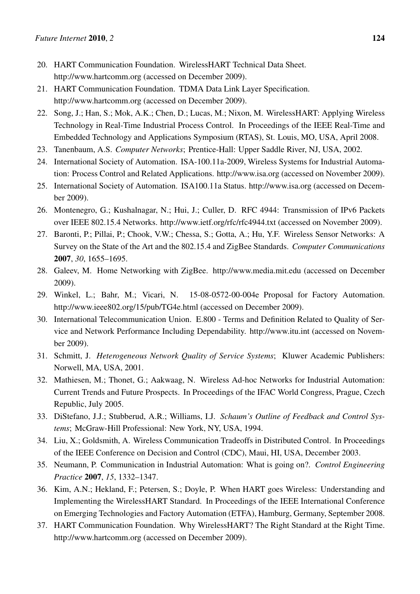- <span id="page-28-0"></span>20. HART Communication Foundation. WirelessHART Technical Data Sheet. http://www.hartcomm.org (accessed on December 2009).
- <span id="page-28-2"></span>21. HART Communication Foundation. TDMA Data Link Layer Specification. http://www.hartcomm.org (accessed on December 2009).
- <span id="page-28-1"></span>22. Song, J.; Han, S.; Mok, A.K.; Chen, D.; Lucas, M.; Nixon, M. WirelessHART: Applying Wireless Technology in Real-Time Industrial Process Control. In Proceedings of the IEEE Real-Time and Embedded Technology and Applications Symposium (RTAS), St. Louis, MO, USA, April 2008.
- <span id="page-28-3"></span>23. Tanenbaum, A.S. *Computer Networks*; Prentice-Hall: Upper Saddle River, NJ, USA, 2002.
- <span id="page-28-4"></span>24. International Society of Automation. ISA-100.11a-2009, Wireless Systems for Industrial Automation: Process Control and Related Applications. http://www.isa.org (accessed on November 2009).
- <span id="page-28-5"></span>25. International Society of Automation. ISA100.11a Status. http://www.isa.org (accessed on December 2009).
- <span id="page-28-6"></span>26. Montenegro, G.; Kushalnagar, N.; Hui, J.; Culler, D. RFC 4944: Transmission of IPv6 Packets over IEEE 802.15.4 Networks. http://www.ietf.org/rfc/rfc4944.txt (accessed on November 2009).
- <span id="page-28-7"></span>27. Baronti, P.; Pillai, P.; Chook, V.W.; Chessa, S.; Gotta, A.; Hu, Y.F. Wireless Sensor Networks: A Survey on the State of the Art and the 802.15.4 and ZigBee Standards. *Computer Communications* 2007, *30*, 1655–1695.
- <span id="page-28-8"></span>28. Galeev, M. Home Networking with ZigBee. http://www.media.mit.edu (accessed on December 2009).
- <span id="page-28-9"></span>29. Winkel, L.; Bahr, M.; Vicari, N. 15-08-0572-00-004e Proposal for Factory Automation. http://www.ieee802.org/15/pub/TG4e.html (accessed on December 2009).
- <span id="page-28-10"></span>30. International Telecommunication Union. E.800 - Terms and Definition Related to Quality of Service and Network Performance Including Dependability. http://www.itu.int (accessed on November 2009).
- <span id="page-28-11"></span>31. Schmitt, J. *Heterogeneous Network Quality of Service Systems*; Kluwer Academic Publishers: Norwell, MA, USA, 2001.
- <span id="page-28-12"></span>32. Mathiesen, M.; Thonet, G.; Aakwaag, N. Wireless Ad-hoc Networks for Industrial Automation: Current Trends and Future Prospects. In Proceedings of the IFAC World Congress, Prague, Czech Republic, July 2005.
- <span id="page-28-13"></span>33. DiStefano, J.J.; Stubberud, A.R.; Williams, I.J. *Schaum's Outline of Feedback and Control Systems*; McGraw-Hill Professional: New York, NY, USA, 1994.
- 34. Liu, X.; Goldsmith, A. Wireless Communication Tradeoffs in Distributed Control. In Proceedings of the IEEE Conference on Decision and Control (CDC), Maui, HI, USA, December 2003.
- <span id="page-28-14"></span>35. Neumann, P. Communication in Industrial Automation: What is going on?. *Control Engineering Practice* 2007, *15*, 1332–1347.
- <span id="page-28-15"></span>36. Kim, A.N.; Hekland, F.; Petersen, S.; Doyle, P. When HART goes Wireless: Understanding and Implementing the WirelessHART Standard. In Proceedings of the IEEE International Conference on Emerging Technologies and Factory Automation (ETFA), Hamburg, Germany, September 2008.
- <span id="page-28-16"></span>37. HART Communication Foundation. Why WirelessHART? The Right Standard at the Right Time. http://www.hartcomm.org (accessed on December 2009).